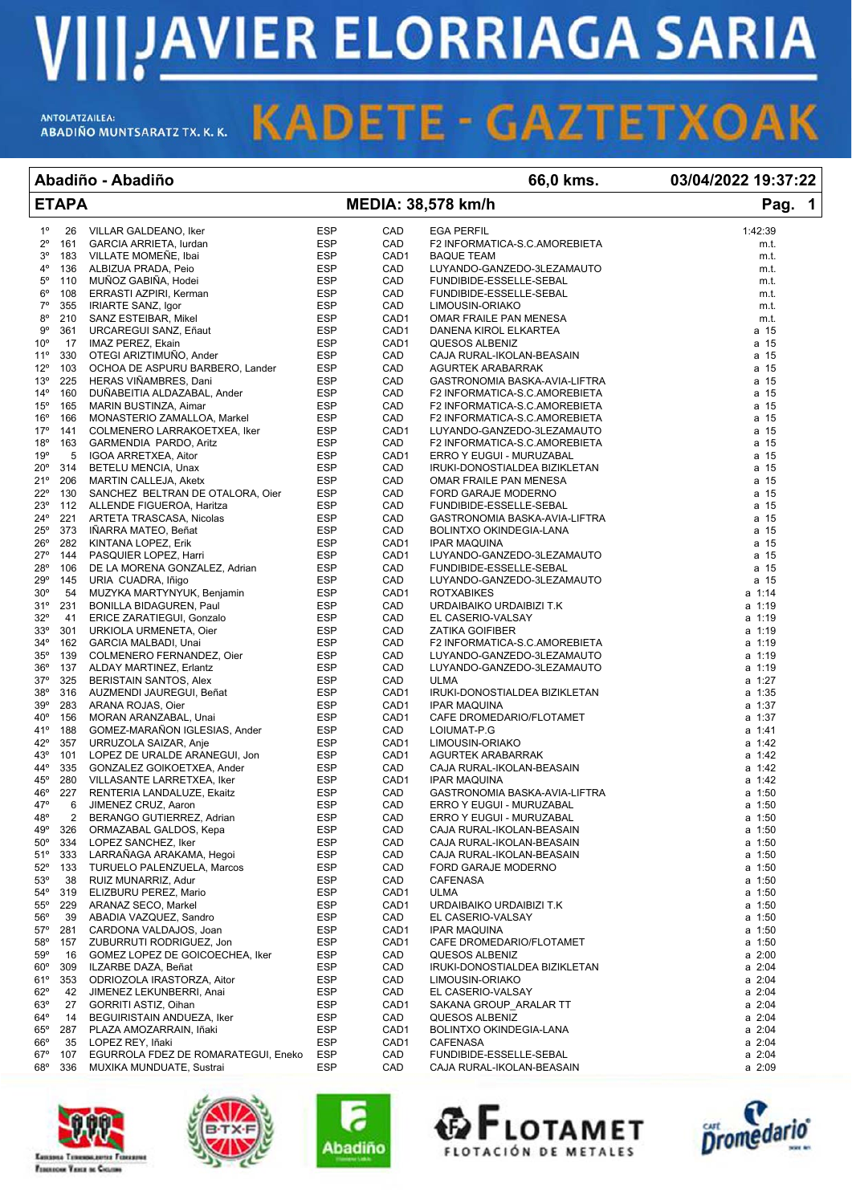### **IIIJAVIER ELORRIAGA SARIA** V

### **KADETE - GAZTETXO** A

#### **Abadiño - Abadiño 66,0 kms. 03/04/2022 19:37:22**

ANTOLATERA<br>ABADIÑO MUNTSARATZ TX. K. K.

ANTOLATZAILEA:

|                            | <b>ETAPA</b> |                                                     |                          |                  | MEDIA: 38,578 km/h                          | Pag.<br>1        |  |
|----------------------------|--------------|-----------------------------------------------------|--------------------------|------------------|---------------------------------------------|------------------|--|
| $1^{\circ}$                | 26           | VILLAR GALDEANO, Iker                               | <b>ESP</b>               | CAD              | <b>EGA PERFIL</b>                           | 1:42:39          |  |
| 2°                         | 161          | GARCIA ARRIETA, lurdan                              | <b>ESP</b>               | CAD              | F2 INFORMATICA-S.C.AMOREBIETA               | m.t.             |  |
| 3°                         |              | 183 VILLATE MOMEÑE, Ibai                            | <b>ESP</b>               | CAD <sub>1</sub> | <b>BAQUE TEAM</b>                           | m.t.             |  |
| $4^{\circ}$                | 136          | ALBIZUA PRADA, Peio                                 | <b>ESP</b>               | CAD              | LUYANDO-GANZEDO-3LEZAMAUTO                  | m.t.             |  |
| $5^{\circ}$                | 110          | MUÑOZ GABIÑA, Hodei                                 | <b>ESP</b>               | CAD              | FUNDIBIDE-ESSELLE-SEBAL                     | m.t.             |  |
| $6^{\circ}$                | 108          | ERRASTI AZPIRI, Kerman                              | <b>ESP</b>               | CAD              | FUNDIBIDE-ESSELLE-SEBAL                     | m.t.             |  |
| $7^\circ$                  | 355          | <b>IRIARTE SANZ, Igor</b>                           | <b>ESP</b>               | CAD              | LIMOUSIN-ORIAKO                             | m.t.             |  |
| $8^{\circ}$                | 210          | SANZ ESTEIBAR, Mikel                                | <b>ESP</b>               | CAD <sub>1</sub> | OMAR FRAILE PAN MENESA                      | m.t.             |  |
| 9°                         | 361          | URCAREGUI SANZ, Eñaut                               | ESP                      | CAD <sub>1</sub> | DANENA KIROL ELKARTEA                       | a 15             |  |
| $10^{\circ}$               | 17           | IMAZ PEREZ, Ekain                                   | ESP                      | CAD <sub>1</sub> | <b>QUESOS ALBENIZ</b>                       | a 15             |  |
| 11°                        | 330          | OTEGI ARIZTIMUÑO, Ander                             | <b>ESP</b>               | CAD              | CAJA RURAL-IKOLAN-BEASAIN                   | a 15             |  |
| $12^{\circ}$               | 103          | OCHOA DE ASPURU BARBERO, Lander                     | <b>ESP</b>               | CAD              | AGURTEK ARABARRAK                           | a 15             |  |
| $13^{\circ}$               | 225          | HERAS VIÑAMBRES, Dani                               | ESP                      | CAD              | GASTRONOMIA BASKA-AVIA-LIFTRA               | a 15             |  |
| $14^{\circ}$               | 160          | DUÑABEITIA ALDAZABAL, Ander                         | <b>ESP</b>               | CAD              | F2 INFORMATICA-S.C.AMOREBIETA               | a 15             |  |
| $15^{\circ}$               | 165          | MARIN BUSTINZA, Aimar                               | <b>ESP</b>               | CAD              | F2 INFORMATICA-S.C.AMOREBIETA               | a 15             |  |
| $16^{\circ}$               | 166          | MONASTERIO ZAMALLOA, Markel                         | <b>ESP</b>               | CAD              | F2 INFORMATICA-S.C.AMOREBIETA               | a 15             |  |
| 17°                        | 141          | COLMENERO LARRAKOETXEA, Iker                        | <b>ESP</b>               | CAD <sub>1</sub> | LUYANDO-GANZEDO-3LEZAMAUTO                  | a 15             |  |
| 18°                        | 163          | GARMENDIA PARDO, Aritz                              | <b>ESP</b>               | CAD              | F2 INFORMATICA-S.C.AMOREBIETA               | a 15             |  |
| 19°                        | 5            | IGOA ARRETXEA, Aitor                                | <b>ESP</b>               | CAD <sub>1</sub> | ERRO Y EUGUI - MURUZABAL                    | a 15             |  |
| $20^{\circ}$               | 314          | <b>BETELU MENCIA, Unax</b>                          | ESP                      | CAD              | IRUKI-DONOSTIALDEA BIZIKLETAN               | a 15             |  |
| 21°                        | 206          | MARTIN CALLEJA, Aketx                               | <b>ESP</b>               | CAD              | OMAR FRAILE PAN MENESA                      | a 15             |  |
| $22^{\circ}$               | 130          | SANCHEZ BELTRAN DE OTALORA, Oier                    | <b>ESP</b>               | CAD              | FORD GARAJE MODERNO                         | a 15             |  |
| 23°                        | 112          | ALLENDE FIGUEROA, Haritza                           | <b>ESP</b>               | CAD              | FUNDIBIDE-ESSELLE-SEBAL                     | a 15             |  |
| 24°                        | 221          | ARTETA TRASCASA, Nicolas                            | ESP                      | CAD              | GASTRONOMIA BASKA-AVIA-LIFTRA               | a 15             |  |
| $25^{\circ}$               | 373          | IÑARRA MATEO, Beñat                                 | <b>ESP</b>               | CAD              | BOLINTXO OKINDEGIA-LANA                     | a 15             |  |
| $26^{\circ}$               | 282          | KINTANA LOPEZ, Erik                                 | <b>ESP</b>               | CAD <sub>1</sub> | <b>IPAR MAQUINA</b>                         | a 15             |  |
| $27^\circ$                 | 144          | PASQUIER LOPEZ, Harri                               | <b>ESP</b>               | CAD <sub>1</sub> | LUYANDO-GANZEDO-3LEZAMAUTO                  | a 15             |  |
| $28^{\circ}$               | 106          | DE LA MORENA GONZALEZ, Adrian                       | <b>ESP</b>               | CAD              | FUNDIBIDE-ESSELLE-SEBAL                     | a 15             |  |
| 29°                        | 145          | URIA CUADRA, Iñigo                                  | <b>ESP</b>               | CAD              | LUYANDO-GANZEDO-3LEZAMAUTO                  | a 15             |  |
| $30^{\circ}$<br>31°        | 54           | MUZYKA MARTYNYUK, Benjamin                          | <b>ESP</b>               | CAD <sub>1</sub> | <b>ROTXABIKES</b>                           | a 1:14           |  |
|                            | 231<br>41    | BONILLA BIDAGUREN, Paul                             | <b>ESP</b><br><b>ESP</b> | CAD              | URDAIBAIKO URDAIBIZI T.K                    | a 1:19<br>a 1:19 |  |
| $32^{\circ}$<br>$33^\circ$ | 301          | ERICE ZARATIEGUI, Gonzalo<br>URKIOLA URMENETA, Oier | <b>ESP</b>               | CAD<br>CAD       | EL CASERIO-VALSAY<br><b>ZATIKA GOIFIBER</b> | a 1:19           |  |
| $34^\circ$                 | 162          | GARCIA MALBADI, Unai                                | <b>ESP</b>               | CAD              | F2 INFORMATICA-S.C.AMOREBIETA               | a 1:19           |  |
| $35^\circ$                 | 139          | COLMENERO FERNANDEZ, Oier                           | <b>ESP</b>               | CAD              | LUYANDO-GANZEDO-3LEZAMAUTO                  | a 1:19           |  |
| $36^{\circ}$               | 137          | ALDAY MARTINEZ, Erlantz                             | ESP                      | CAD              | LUYANDO-GANZEDO-3LEZAMAUTO                  | a 1:19           |  |
| $37^\circ$                 | 325          | <b>BERISTAIN SANTOS, Alex</b>                       | ESP                      | CAD              | ULMA                                        | a 1:27           |  |
| $38^{\circ}$               | 316          | AUZMENDI JAUREGUI, Beñat                            | <b>ESP</b>               | CAD <sub>1</sub> | IRUKI-DONOSTIALDEA BIZIKLETAN               | a 1:35           |  |
| 39°                        | 283          | ARANA ROJAS, Oier                                   | <b>ESP</b>               | CAD <sub>1</sub> | <b>IPAR MAQUINA</b>                         | a 1:37           |  |
| $40^{\circ}$               | 156          | MORAN ARANZABAL, Unai                               | <b>ESP</b>               | CAD <sub>1</sub> | CAFE DROMEDARIO/FLOTAMET                    | a 1:37           |  |
| 41°                        | 188          | GOMEZ-MARAÑON IGLESIAS, Ander                       | <b>ESP</b>               | CAD              | LOIUMAT-P.G                                 | a 1:41           |  |
| $42^{\circ}$               | 357          | URRUZOLA SAIZAR, Anje                               | <b>ESP</b>               | CAD <sub>1</sub> | LIMOUSIN-ORIAKO                             | a 1:42           |  |
| $43^{\circ}$               | 101          | LOPEZ DE URALDE ARANEGUI, Jon                       | ESP                      | CAD <sub>1</sub> | AGURTEK ARABARRAK                           | a 1:42           |  |
| $44^{\circ}$               | 335          | GONZALEZ GOIKOETXEA, Ander                          | ESP                      | CAD              | CAJA RURAL-IKOLAN-BEASAIN                   | a 1:42           |  |
| 45°                        | 280          | VILLASANTE LARRETXEA, Iker                          | <b>ESP</b>               | CAD <sub>1</sub> | <b>IPAR MAQUINA</b>                         | a 1:42           |  |
| $46^{\circ}$               | 227          | RENTERIA LANDALUZE, Ekaitz                          | <b>ESP</b>               | CAD              | GASTRONOMIA BASKA-AVIA-LIFTRA               | a 1:50           |  |
| 47°                        | 6            | JIMENEZ CRUZ, Aaron                                 | ESP                      | CAD              | ERRO Y EUGUI - MURUZABAL                    | a 1:50           |  |
| 48°                        | 2            | BERANGO GUTIERREZ, Adrian                           | ESP                      | CAD              | ERRO Y EUGUI - MURUZABAL                    | a 1:50           |  |
| 49°                        | 326          | ORMAZABAL GALDOS, Kepa                              | <b>ESP</b>               | CAD              | CAJA RURAL-IKOLAN-BEASAIN                   | a 1:50           |  |
| $50^\circ$                 | 334          | LOPEZ SANCHEZ, Iker                                 | ESP                      | CAD              | CAJA RURAL-IKOLAN-BEASAIN                   | a 1:50           |  |
| 51°                        | 333          | LARRAÑAGA ARAKAMA, Hegoi                            | <b>ESP</b>               | CAD              | CAJA RURAL-IKOLAN-BEASAIN                   | a 1:50           |  |
| $52^\circ$                 | 133          | TURUELO PALENZUELA, Marcos                          | ESP                      | CAD              | FORD GARAJE MODERNO                         | a 1:50           |  |
| 53°                        | 38           | RUIZ MUNARRIZ, Adur                                 | <b>ESP</b>               | CAD              | CAFENASA                                    | a 1:50           |  |
| $54^\circ$                 | 319          | ELIZBURU PEREZ, Mario                               | ESP                      | CAD <sub>1</sub> | <b>ULMA</b>                                 | a 1:50           |  |
| $55^{\circ}$               | 229          | ARANAZ SECO, Markel                                 | ESP                      | CAD <sub>1</sub> | URDAIBAIKO URDAIBIZI T.K                    | a 1:50           |  |
| $56^{\circ}$               | 39           | ABADIA VAZQUEZ, Sandro                              | ESP                      | CAD              | EL CASERIO-VALSAY                           | a 1:50           |  |
| $57^\circ$                 | 281          | CARDONA VALDAJOS, Joan                              | ESP                      | CAD <sub>1</sub> | <b>IPAR MAQUINA</b>                         | a 1:50           |  |
| $58^\circ$                 | 157          | ZUBURRUTI RODRIGUEZ, Jon                            | <b>ESP</b>               | CAD1             | CAFE DROMEDARIO/FLOTAMET                    | a 1:50           |  |
| $59^\circ$                 | 16           | GOMEZ LOPEZ DE GOICOECHEA, Iker                     | ESP                      | CAD              | QUESOS ALBENIZ                              | $a \, 2:00$      |  |
| $60^{\circ}$               | 309          | ILZARBE DAZA, Beñat                                 | ESP                      | CAD              | IRUKI-DONOSTIALDEA BIZIKLETAN               | a 2:04           |  |
| 61°                        | 353          | ODRIOZOLA IRASTORZA, Aitor                          | ESP                      | CAD              | LIMOUSIN-ORIAKO                             | $a \; 2:04$      |  |
| $62^{\circ}$               | 42           | JIMENEZ LEKUNBERRI, Anai                            | ESP                      | CAD              | EL CASERIO-VALSAY                           | a 2:04           |  |
| $63^\circ$                 | 27           | GORRITI ASTIZ, Oihan                                | ESP                      | CAD1             | SAKANA GROUP_ARALAR TT                      | a 2:04           |  |
| 64°                        | 14           | BEGUIRISTAIN ANDUEZA, Iker                          | <b>ESP</b>               | CAD              | QUESOS ALBENIZ                              | a 2:04           |  |
| $65^{\circ}$               | 287          | PLAZA AMOZARRAIN, Iñaki                             | <b>ESP</b>               | CAD1             | BOLINTXO OKINDEGIA-LANA                     | $a \; 2:04$      |  |
| $66^{\circ}$               | 35           | LOPEZ REY, Iñaki                                    | ESP                      | CAD <sub>1</sub> | CAFENASA                                    | $a \; 2:04$      |  |
| 67°                        | 107          | EGURROLA FDEZ DE ROMARATEGUI, Eneko                 | <b>ESP</b>               | CAD              | FUNDIBIDE-ESSELLE-SEBAL                     | a 2:04           |  |
| 68°                        | 336          | MUXIKA MUNDUATE, Sustrai                            | <b>ESP</b>               | CAD              | CAJA RURAL-IKOLAN-BEASAIN                   | a 2:09           |  |









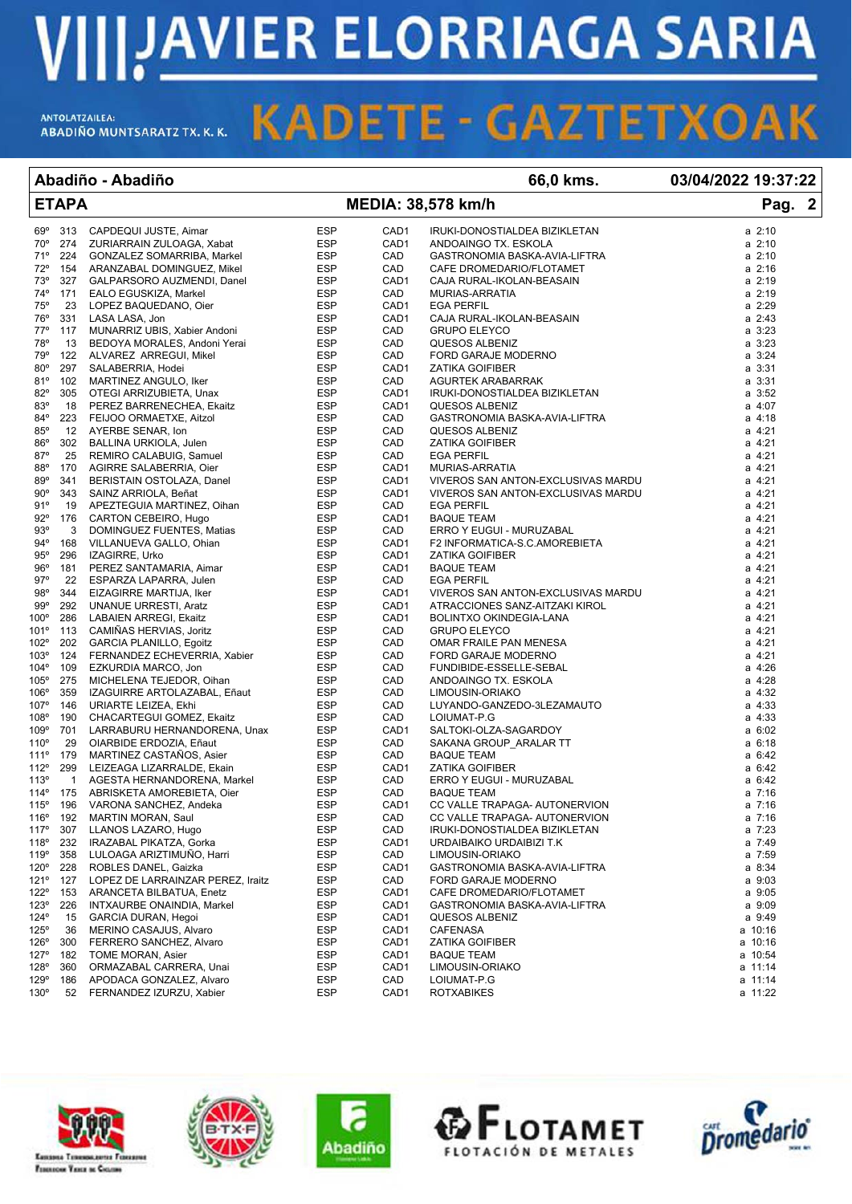# **VIII. AVIER ELORRIAGA SARIA**

### **KADETE - GAZTETXOAK** ANTOLATERA<br>ABADIÑO MUNTSARATZ TX. K. K.

ANTOLATZAILEA:

#### **Abadiño - Abadiño 66,0 kms. 03/04/2022 19:37:22**

|               | <b>ETAPA</b>   |                                                                                                                                                                                                            |            |                  | MEDIA: 38,578 km/h                                                                                                                                                                                                                                              | Pag. 2      |  |
|---------------|----------------|------------------------------------------------------------------------------------------------------------------------------------------------------------------------------------------------------------|------------|------------------|-----------------------------------------------------------------------------------------------------------------------------------------------------------------------------------------------------------------------------------------------------------------|-------------|--|
| $69^\circ$    | 313            | CAPDEQUI JUSTE, Aimar                                                                                                                                                                                      | <b>ESP</b> | CAD <sub>1</sub> | IRUKI-DONOSTIALDEA BIZIKLETAN                                                                                                                                                                                                                                   | $a$ 2:10    |  |
| $70^{\circ}$  |                | 274 ZURIARRAIN ZULOAGA, Xabat                                                                                                                                                                              | <b>ESP</b> | CAD <sub>1</sub> | ANDOAINGO TX. ESKOLA                                                                                                                                                                                                                                            | $a$ 2:10    |  |
| 71°           | 224            | GONZALEZ SOMARRIBA, Markel                                                                                                                                                                                 | ESP        | CAD              | GASTRONOMIA BASKA-AVIA-LIFTRA                                                                                                                                                                                                                                   | $a$ 2:10    |  |
| $72^{\circ}$  | 154            | ARANZABAL DOMINGUEZ, Mikel                                                                                                                                                                                 | ESP        | CAD              | CAFE DROMEDARIO/FLOTAMET                                                                                                                                                                                                                                        | $a \, 2:16$ |  |
| 73°           | 327            | GALPARSORO AUZMENDI, Danel                                                                                                                                                                                 | ESP        | CAD <sub>1</sub> | CAJA RURAL-IKOLAN-BEASAIN                                                                                                                                                                                                                                       | a 2:19      |  |
| 74°           | 171            | EALO EGUSKIZA, Markel                                                                                                                                                                                      | ESP        | CAD              | MURIAS-ARRATIA                                                                                                                                                                                                                                                  | $a$ 2:19    |  |
| 75°           | 23             | LOPEZ BAQUEDANO, Oier                                                                                                                                                                                      | ESP        | CAD <sub>1</sub> | <b>EGA PERFIL</b>                                                                                                                                                                                                                                               | a 2:29      |  |
| 76°           | 331            | LASA LASA, Jon                                                                                                                                                                                             | ESP        | CAD <sub>1</sub> | EGA PERFIL<br>CAUA RURAL-IKOLAN-BEASAIN<br>GRUPO ELEYCO<br>QUESOS ALBENIZ<br>FORD GARAJE MODERNO<br>ZATIKA GOIFIBER<br>AGURTEK ARABARRAK<br>IRUKI-DONOSTIALDEA BIZIKLETAN<br>QUESOS ALBENIZ<br>GASTRONOMIA BASKA-AVIA-LIFTRA<br>QUESOS ALBENIZ<br>ZATIKA GOIFIB | $a \; 2:43$ |  |
| 77°           | 117            | MUNARRIZ UBIS, Xabier Andoni                                                                                                                                                                               | ESP        | CAD              |                                                                                                                                                                                                                                                                 | $a \, 3:23$ |  |
| 78°           | 13             | BEDOYA MORALES, Andoni Yerai                                                                                                                                                                               | ESP        | CAD              |                                                                                                                                                                                                                                                                 | $a \, 3:23$ |  |
| 79°           |                | 122 ALVAREZ ARREGUI, Mikel                                                                                                                                                                                 | ESP        | CAD              |                                                                                                                                                                                                                                                                 | $a \, 3:24$ |  |
| $80^{\circ}$  | 297            | SALABERRIA, Hodei                                                                                                                                                                                          | ESP        | CAD <sub>1</sub> |                                                                                                                                                                                                                                                                 | a 3:31      |  |
| 81°           | 102            | MARTINEZ ANGULO, Iker                                                                                                                                                                                      | <b>ESP</b> | CAD              |                                                                                                                                                                                                                                                                 | a 3:31      |  |
| 82°           | 305            | OTEGI ARRIZUBIETA, Unax                                                                                                                                                                                    | ESP        | CAD <sub>1</sub> |                                                                                                                                                                                                                                                                 | $a \, 3:52$ |  |
| 83°           | 18             | PEREZ BARRENECHEA, Ekaitz                                                                                                                                                                                  | ESP        | CAD <sub>1</sub> |                                                                                                                                                                                                                                                                 | $a$ 4:07    |  |
| 84°           | 223            | FEIJOO ORMAETXE, Aitzol                                                                                                                                                                                    | ESP        | CAD              |                                                                                                                                                                                                                                                                 | $a$ 4:18    |  |
| $85^\circ$    |                | 12 AYERBE SENAR, Ion                                                                                                                                                                                       | ESP        | CAD              |                                                                                                                                                                                                                                                                 | $a$ 4:21    |  |
| $86^{\circ}$  | 302            | BALLINA URKIOLA, Julen                                                                                                                                                                                     | ESP        | CAD              |                                                                                                                                                                                                                                                                 | a 4:21      |  |
| $87^\circ$    | 25             | REMIRO CALABUIG, Samuel                                                                                                                                                                                    | ESP        | CAD              |                                                                                                                                                                                                                                                                 | a 4:21      |  |
| $88^{\circ}$  | 170            | AGIRRE SALABERRIA, Oier                                                                                                                                                                                    | ESP        | CAD <sub>1</sub> | MURIAS-ARRATIA                                                                                                                                                                                                                                                  | a 4:21      |  |
| $89^\circ$    | 341            | BERISTAIN OSTOLAZA, Danel                                                                                                                                                                                  | ESP        | CAD <sub>1</sub> | VIVEROS SAN ANTON-EXCLUSIVAS MARDU                                                                                                                                                                                                                              | a 4:21      |  |
| $90^{\circ}$  | 343            | SAINZ ARRIOLA, Beñat                                                                                                                                                                                       | ESP        | CAD <sub>1</sub> | VIVEROS SAN ANTON-EXCLUSIVAS MARDU                                                                                                                                                                                                                              | a 4:21      |  |
| 91°           | 19             |                                                                                                                                                                                                            | ESP        | CAD              | <b>EGA PERFIL</b>                                                                                                                                                                                                                                               | a 4:21      |  |
| $92^{\circ}$  | 176            |                                                                                                                                                                                                            | <b>ESP</b> | CAD <sub>1</sub> | <b>BAQUE TEAM</b>                                                                                                                                                                                                                                               | a 4:21      |  |
| 93°           | 3              |                                                                                                                                                                                                            | ESP        | CAD              | ERRO Y EUGUI - MURUZABAL                                                                                                                                                                                                                                        | $a$ 4:21    |  |
| $94^{\circ}$  | 168            |                                                                                                                                                                                                            | ESP        | CAD <sub>1</sub> | F2 INFORMATICA-S.C.AMOREBIETA                                                                                                                                                                                                                                   | $a$ 4:21    |  |
| $95^\circ$    | 296            |                                                                                                                                                                                                            | ESP        | CAD <sub>1</sub> | <b>ZATIKA GOIFIBER</b>                                                                                                                                                                                                                                          | a 4:21      |  |
| $96^{\circ}$  | 181            |                                                                                                                                                                                                            | ESP        | CAD <sub>1</sub> | <b>BAQUE TEAM</b>                                                                                                                                                                                                                                               | a 4:21      |  |
| $97^\circ$    | 22             | SAINZ ARRIOLA, Berlat<br>APEZTEGUIA MARTINEZ, Oihan<br>DARTON CEBEIRO, Hugo<br>DOMINGUEZ FUENTES, Matias<br>VILLANUEVA GALLO, Ohian<br>IZAGIRRE, Urko<br>PEREZ SANTAMARIA, Aimar<br>ESPARZA LAPARRA, Julen | ESP        | CAD              | <b>EGA PERFIL</b>                                                                                                                                                                                                                                               | $a$ 4:21    |  |
| 98°           | 344            | EIZAGIRRE MARTIJA, Iker                                                                                                                                                                                    | ESP        | CAD <sub>1</sub> | VIVEROS SAN ANTON-EXCLUSIVAS MARDU                                                                                                                                                                                                                              | $a$ 4:21    |  |
| 99°           | 292            | UNANUE URRESTI, Aratz                                                                                                                                                                                      | <b>ESP</b> | CAD <sub>1</sub> | USIVAS MARDU<br>USIVAS MARDU<br>AL<br>JUSIVAS MARDU<br>JKI KIROL<br>A<br>A<br>AMAUTO<br>,<br>T<br>T<br>T<br>T<br>H<br>AL<br>AL<br>NERVION<br>NERVION<br>NERVION<br>ATRACCIONES SANZ-AITZAKI KIROL                                                               | $a$ 4:21    |  |
| $100^\circ$   | 286            | LABAIEN ARREGI, Ekaitz                                                                                                                                                                                     | ESP        | CAD <sub>1</sub> | BOLINTXO OKINDEGIA-LANA                                                                                                                                                                                                                                         | a 4:21      |  |
| 101°          | 113            | CAMIÑAS HERVIAS, Joritz                                                                                                                                                                                    | ESP        | CAD              | <b>GRUPO ELEYCO</b>                                                                                                                                                                                                                                             | a 4:21      |  |
| 102°          | 202            | <b>GARCIA PLANILLO, Egoitz</b>                                                                                                                                                                             | ESP        | CAD              | OMAR FRAILE PAN MENESA                                                                                                                                                                                                                                          | a 4:21      |  |
| 103°          | 124            | FERNANDEZ ECHEVERRIA, Xabier                                                                                                                                                                               | ESP        | CAD              | FORD GARAJE MODERNO                                                                                                                                                                                                                                             | a 4:21      |  |
| 104°          | 109            | EZKURDIA MARCO, Jon                                                                                                                                                                                        | <b>ESP</b> | CAD              | FUNDIBIDE-ESSELLE-SEBAL                                                                                                                                                                                                                                         | $a$ 4:26    |  |
| 105°          | 275            | MICHELENA TEJEDOR, Oihan                                                                                                                                                                                   | ESP        | CAD              | ANDOAINGO TX. ESKOLA                                                                                                                                                                                                                                            | a 4:28      |  |
| 106°          | 359            | IZAGUIRRE ARTOLAZABAL, Eñaut                                                                                                                                                                               | ESP        | CAD              | LIMOUSIN-ORIAKO                                                                                                                                                                                                                                                 | a 4:32      |  |
| 107°          | 146            | URIARTE LEIZEA, Ekhi                                                                                                                                                                                       | ESP        | CAD              | LUYANDO-GANZEDO-3LEZAMAUTO                                                                                                                                                                                                                                      | a 4:33      |  |
| 108°          | 190            | CHACARTEGUI GOMEZ, Ekaitz                                                                                                                                                                                  | ESP        | CAD              | LOIUMAT-P.G                                                                                                                                                                                                                                                     | a 4:33      |  |
| 109°          | 701            | LARRABURU HERNANDORENA, Unax                                                                                                                                                                               | ESP        | CAD <sub>1</sub> | SALTOKI-OLZA-SAGARDOY                                                                                                                                                                                                                                           | a 6:02      |  |
| $110^{\circ}$ | 29             | OIARBIDE ERDOZIA, Eñaut                                                                                                                                                                                    | <b>ESP</b> | CAD              | SAKANA GROUP_ARALAR TT                                                                                                                                                                                                                                          | a 6:18      |  |
| 111°          | 179            | MARTINEZ CASTAÑOS, Asier                                                                                                                                                                                   | <b>ESP</b> | CAD              | <b>BAQUE TEAM</b>                                                                                                                                                                                                                                               | $a \t6:42$  |  |
| 112°          | 299            | LEIZEAGA LIZARRALDE, Ekain                                                                                                                                                                                 | ESP        | CAD1             | <b>ZATIKA GOIFIBER</b>                                                                                                                                                                                                                                          | $a \, 6:42$ |  |
| 113°          | $\overline{1}$ | AGESTA HERNANDORENA, Markel                                                                                                                                                                                | ESP        | CAD              | ERRO Y EUGUI - MURUZABAL                                                                                                                                                                                                                                        | $a \, 6:42$ |  |
| 114°          | 175            | ABRISKETA AMOREBIETA, Oier                                                                                                                                                                                 | ESP        | CAD              | <b>BAQUE TEAM</b>                                                                                                                                                                                                                                               | $a \t7:16$  |  |
| 115°          | 196            | VARONA SANCHEZ, Andeka                                                                                                                                                                                     | ESP        | CAD <sub>1</sub> | CC VALLE TRAPAGA- AUTONERVION                                                                                                                                                                                                                                   | $a \t7:16$  |  |
| 116°          | 192            | MARTIN MORAN, Saul                                                                                                                                                                                         | <b>ESP</b> | CAD              | CC VALLE TRAPAGA- AUTONERVION                                                                                                                                                                                                                                   | $a \t7:16$  |  |
| 117°          | 307            | LLANOS LAZARO, Hugo                                                                                                                                                                                        | <b>ESP</b> | CAD              | IRUKI-DONOSTIALDEA BIZIKLETAN                                                                                                                                                                                                                                   | a 7:23      |  |
| 118°          | 232            | IRAZABAL PIKATZA, Gorka                                                                                                                                                                                    | ESP        | CAD1             | URDAIBAIKO URDAIBIZI T.K                                                                                                                                                                                                                                        | a 7:49      |  |
| 119°          | 358            | LULOAGA ARIZTIMUÑO, Harri                                                                                                                                                                                  | <b>ESP</b> | CAD              | LIMOUSIN-ORIAKO                                                                                                                                                                                                                                                 | a 7:59      |  |
| $120^\circ$   | 228            | ROBLES DANEL, Gaizka                                                                                                                                                                                       | ESP        | CAD <sub>1</sub> | GASTRONOMIA BASKA-AVIA-LIFTRA                                                                                                                                                                                                                                   | a 8:34      |  |
| 121°          | 127            | LOPEZ DE LARRAINZAR PEREZ, Iraitz                                                                                                                                                                          | ESP        | CAD              | FORD GARAJE MODERNO                                                                                                                                                                                                                                             | a 9:03      |  |
| 122°          | 153            | ARANCETA BILBATUA, Enetz                                                                                                                                                                                   | ESP        | CAD <sub>1</sub> | CAFE DROMEDARIO/FLOTAMET                                                                                                                                                                                                                                        | a 9:05      |  |
| 123°          | 226            | INTXAURBE ONAINDIA, Markel                                                                                                                                                                                 | ESP        | CAD <sub>1</sub> | GASTRONOMIA BASKA-AVIA-LIFTRA                                                                                                                                                                                                                                   | a 9:09      |  |
| 124°          | 15             | GARCIA DURAN, Hegoi                                                                                                                                                                                        | ESP        | CAD <sub>1</sub> | QUESOS ALBENIZ                                                                                                                                                                                                                                                  | a 9:49      |  |
| 125°          | 36             | MERINO CASAJUS, Alvaro                                                                                                                                                                                     | ESP        | CAD <sub>1</sub> | CAFENASA                                                                                                                                                                                                                                                        | a 10:16     |  |
| 126°          | 300            | FERRERO SANCHEZ, Alvaro                                                                                                                                                                                    | ESP        | CAD1             | <b>ZATIKA GOIFIBER</b>                                                                                                                                                                                                                                          | a 10:16     |  |
| 127°          | 182            | TOME MORAN, Asier                                                                                                                                                                                          | ESP        | CAD <sub>1</sub> | <b>BAQUE TEAM</b>                                                                                                                                                                                                                                               | a 10:54     |  |
| 128°          | 360            | ORMAZABAL CARRERA, Unai                                                                                                                                                                                    | ESP        | CAD1             | LIMOUSIN-ORIAKO                                                                                                                                                                                                                                                 | a 11:14     |  |
| 129°          | 186            | APODACA GONZALEZ, Alvaro                                                                                                                                                                                   | ESP        | CAD              | LOIUMAT-P.G                                                                                                                                                                                                                                                     | a 11:14     |  |
| 130°          | 52             | FERNANDEZ IZURZU, Xabier                                                                                                                                                                                   | ESP        | CAD <sub>1</sub> | <b>ROTXABIKES</b>                                                                                                                                                                                                                                               | a 11:22     |  |









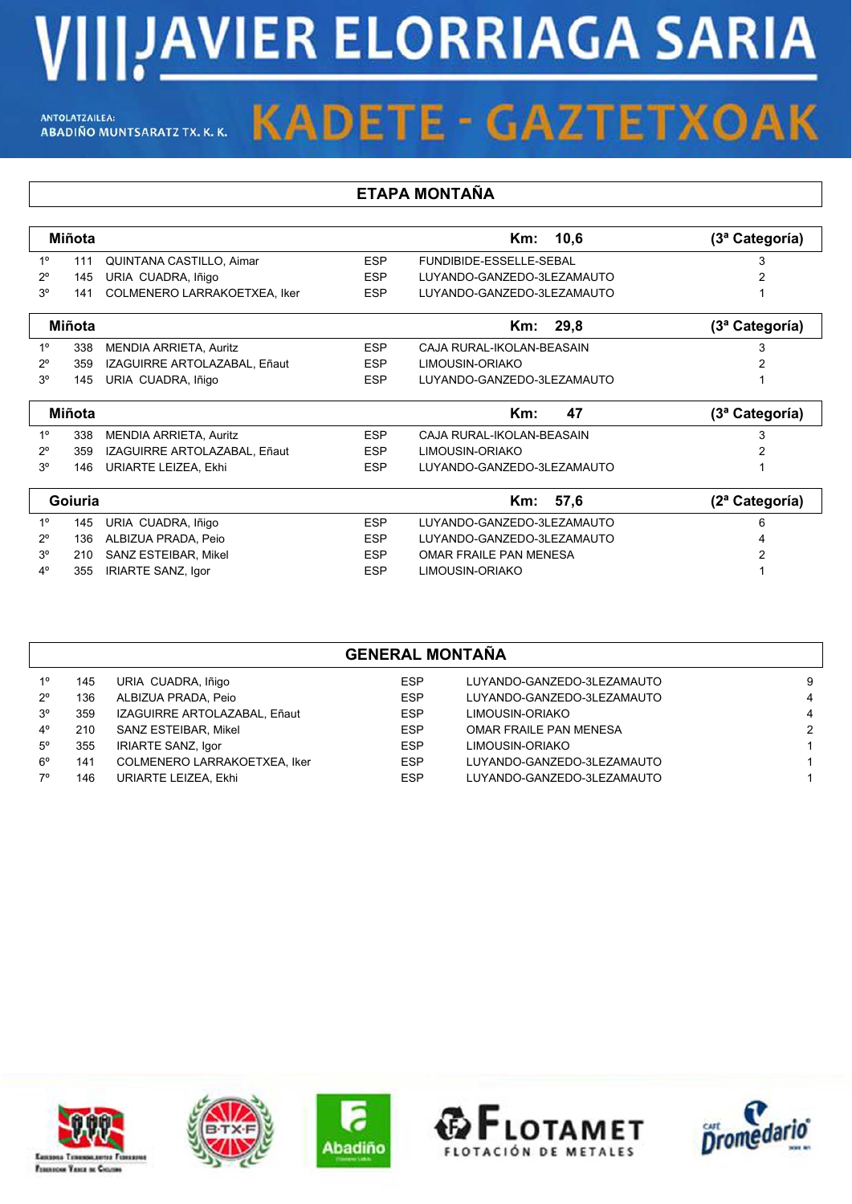# **VIII.JAVIER ELORRIAGA SARIA**

ANTOLATZAILEA: **ANTOLATZAILEA:**<br>ABADIÑO MUNTSARATZ TX. K. K.

## **KADETE - GAZTETXOAK**

#### **ETAPA MONTAÑA**

|                | Miñota  |                               |            | 10,6<br>Km:                   | (3ª Categoría) |
|----------------|---------|-------------------------------|------------|-------------------------------|----------------|
| $1^{\circ}$    | 111     | QUINTANA CASTILLO, Aimar      | <b>ESP</b> | FUNDIBIDE-ESSELLE-SEBAL       | 3              |
| $2^{\circ}$    | 145     | URIA CUADRA, Iñigo            | <b>ESP</b> | LUYANDO-GANZEDO-3LEZAMAUTO    |                |
| 3 <sup>o</sup> | 141     | COLMENERO LARRAKOETXEA, Iker  | <b>ESP</b> | LUYANDO-GANZEDO-3LEZAMAUTO    |                |
|                | Miñota  |                               |            | 29,8<br>Km:                   | (3ª Categoría) |
| $1^{\circ}$    | 338     | <b>MENDIA ARRIETA, Auritz</b> | <b>ESP</b> | CAJA RURAL-IKOLAN-BEASAIN     | 3              |
| $2^{\circ}$    | 359     | IZAGUIRRE ARTOLAZABAL, Eñaut  | <b>ESP</b> | LIMOUSIN-ORIAKO               |                |
| $3^{\circ}$    | 145     | URIA CUADRA, Iñigo            | <b>ESP</b> | LUYANDO-GANZEDO-3LEZAMAUTO    |                |
| Miñota         |         |                               |            | 47<br>$Km$ :                  | (3ª Categoría) |
| $1^{\circ}$    | 338     | <b>MENDIA ARRIETA, Auritz</b> | <b>ESP</b> | CAJA RURAL-IKOLAN-BEASAIN     | 3              |
| $2^{\circ}$    | 359     | IZAGUIRRE ARTOLAZABAL, Eñaut  | <b>ESP</b> | LIMOUSIN-ORIAKO               |                |
|                |         |                               |            |                               |                |
| 3 <sup>o</sup> | 146     | URIARTE LEIZEA, Ekhi          | <b>ESP</b> | LUYANDO-GANZEDO-3LEZAMAUTO    |                |
|                | Goiuria |                               |            | 57,6<br>Km:                   | (2ª Categoría) |
| $1^{\circ}$    | 145     | URIA CUADRA, Iñigo            | <b>ESP</b> | LUYANDO-GANZEDO-3LEZAMAUTO    | 6              |
| $2^{\circ}$    | 136     | ALBIZUA PRADA, Peio           | <b>ESP</b> | LUYANDO-GANZEDO-3LEZAMAUTO    |                |
| 3 <sup>o</sup> | 210     | SANZ ESTEIBAR, Mikel          | <b>ESP</b> | <b>OMAR FRAILE PAN MENESA</b> |                |

|             | <b>GENERAL MONTAÑA</b> |                              |            |                            |               |  |
|-------------|------------------------|------------------------------|------------|----------------------------|---------------|--|
| $1^{\circ}$ | 145                    | URIA CUADRA, Iñigo           | <b>ESP</b> | LUYANDO-GANZEDO-3LEZAMAUTO | 9             |  |
| $2^{\circ}$ | 136                    | ALBIZUA PRADA, Peio          | <b>ESP</b> | LUYANDO-GANZEDO-3LEZAMAUTO | 4             |  |
| $3^{\circ}$ | 359                    | IZAGUIRRE ARTOLAZABAL. Eñaut | <b>ESP</b> | LIMOUSIN-ORIAKO            | 4             |  |
| $4^{\circ}$ | 210                    | SANZ ESTEIBAR, Mikel         | <b>ESP</b> | OMAR FRAILE PAN MENESA     | $\mathcal{P}$ |  |
| $5^{\circ}$ | 355                    | <b>IRIARTE SANZ, Igor</b>    | <b>ESP</b> | LIMOUSIN-ORIAKO            |               |  |
| $6^{\circ}$ | 141                    | COLMENERO LARRAKOETXEA, Iker | <b>ESP</b> | LUYANDO-GANZEDO-3LEZAMAUTO |               |  |
| 70          | 146                    | URIARTE LEIZEA, Ekhi         | <b>ESP</b> | LUYANDO-GANZEDO-3LEZAMAUTO |               |  |